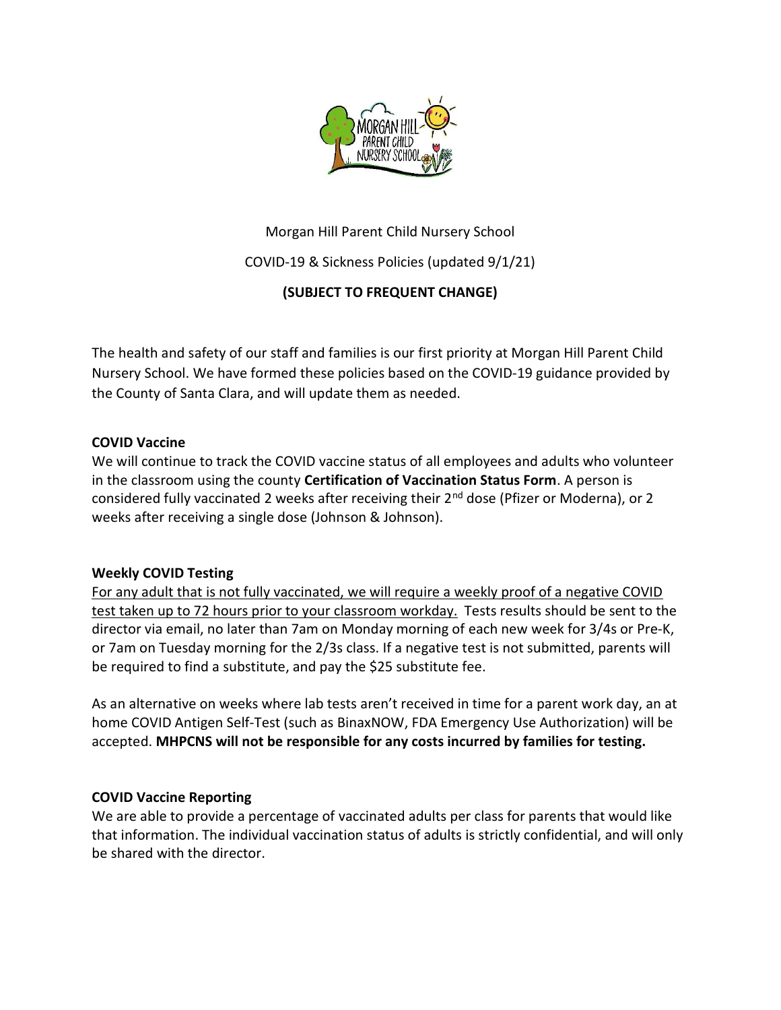

# Morgan Hill Parent Child Nursery School

COVID-19 & Sickness Policies (updated 9/1/21)

# (SUBJECT TO FREQUENT CHANGE)

The health and safety of our staff and families is our first priority at Morgan Hill Parent Child Nursery School. We have formed these policies based on the COVID-19 guidance provided by the County of Santa Clara, and will update them as needed.

### COVID Vaccine

We will continue to track the COVID vaccine status of all employees and adults who volunteer in the classroom using the county Certification of Vaccination Status Form. A person is considered fully vaccinated 2 weeks after receiving their 2<sup>nd</sup> dose (Pfizer or Moderna), or 2 weeks after receiving a single dose (Johnson & Johnson).

## Weekly COVID Testing

For any adult that is not fully vaccinated, we will require a weekly proof of a negative COVID test taken up to 72 hours prior to your classroom workday. Tests results should be sent to the director via email, no later than 7am on Monday morning of each new week for 3/4s or Pre-K, or 7am on Tuesday morning for the 2/3s class. If a negative test is not submitted, parents will be required to find a substitute, and pay the \$25 substitute fee.

As an alternative on weeks where lab tests aren't received in time for a parent work day, an at home COVID Antigen Self-Test (such as BinaxNOW, FDA Emergency Use Authorization) will be accepted. MHPCNS will not be responsible for any costs incurred by families for testing.

## COVID Vaccine Reporting

We are able to provide a percentage of vaccinated adults per class for parents that would like that information. The individual vaccination status of adults is strictly confidential, and will only be shared with the director.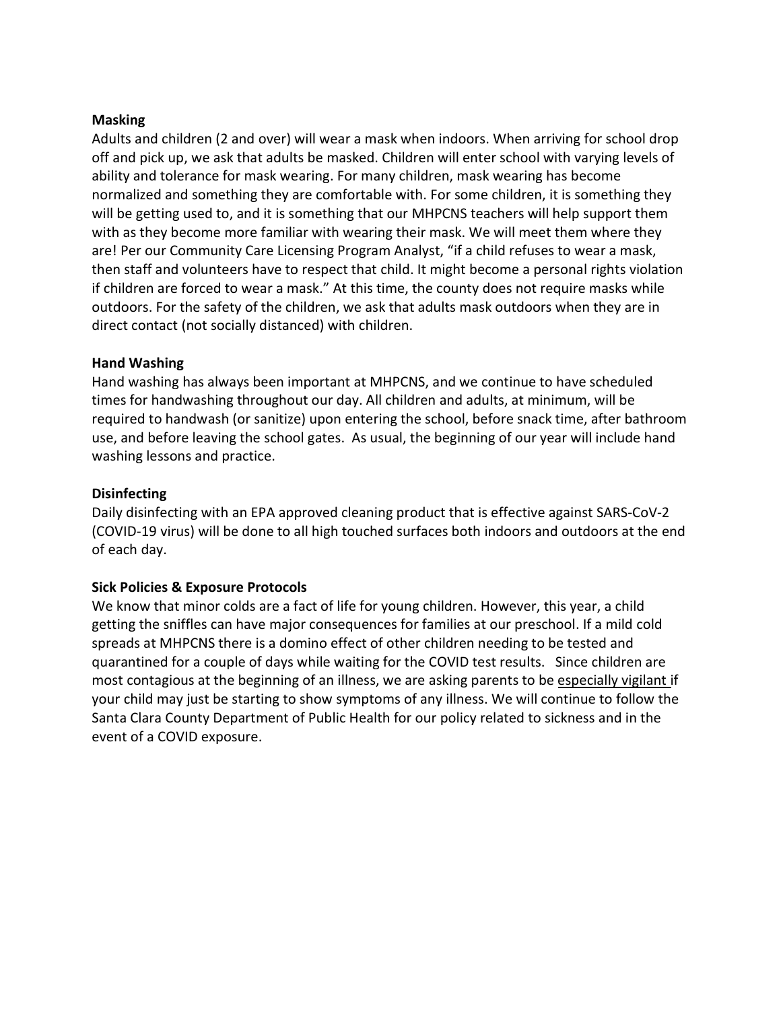### Masking

Adults and children (2 and over) will wear a mask when indoors. When arriving for school drop off and pick up, we ask that adults be masked. Children will enter school with varying levels of ability and tolerance for mask wearing. For many children, mask wearing has become normalized and something they are comfortable with. For some children, it is something they will be getting used to, and it is something that our MHPCNS teachers will help support them with as they become more familiar with wearing their mask. We will meet them where they are! Per our Community Care Licensing Program Analyst, "if a child refuses to wear a mask, then staff and volunteers have to respect that child. It might become a personal rights violation if children are forced to wear a mask." At this time, the county does not require masks while outdoors. For the safety of the children, we ask that adults mask outdoors when they are in direct contact (not socially distanced) with children.

#### Hand Washing

Hand washing has always been important at MHPCNS, and we continue to have scheduled times for handwashing throughout our day. All children and adults, at minimum, will be required to handwash (or sanitize) upon entering the school, before snack time, after bathroom use, and before leaving the school gates. As usual, the beginning of our year will include hand washing lessons and practice.

### **Disinfecting**

Daily disinfecting with an EPA approved cleaning product that is effective against SARS-CoV-2 (COVID-19 virus) will be done to all high touched surfaces both indoors and outdoors at the end of each day.

### Sick Policies & Exposure Protocols

We know that minor colds are a fact of life for young children. However, this year, a child getting the sniffles can have major consequences for families at our preschool. If a mild cold spreads at MHPCNS there is a domino effect of other children needing to be tested and quarantined for a couple of days while waiting for the COVID test results. Since children are most contagious at the beginning of an illness, we are asking parents to be especially vigilant if your child may just be starting to show symptoms of any illness. We will continue to follow the Santa Clara County Department of Public Health for our policy related to sickness and in the event of a COVID exposure.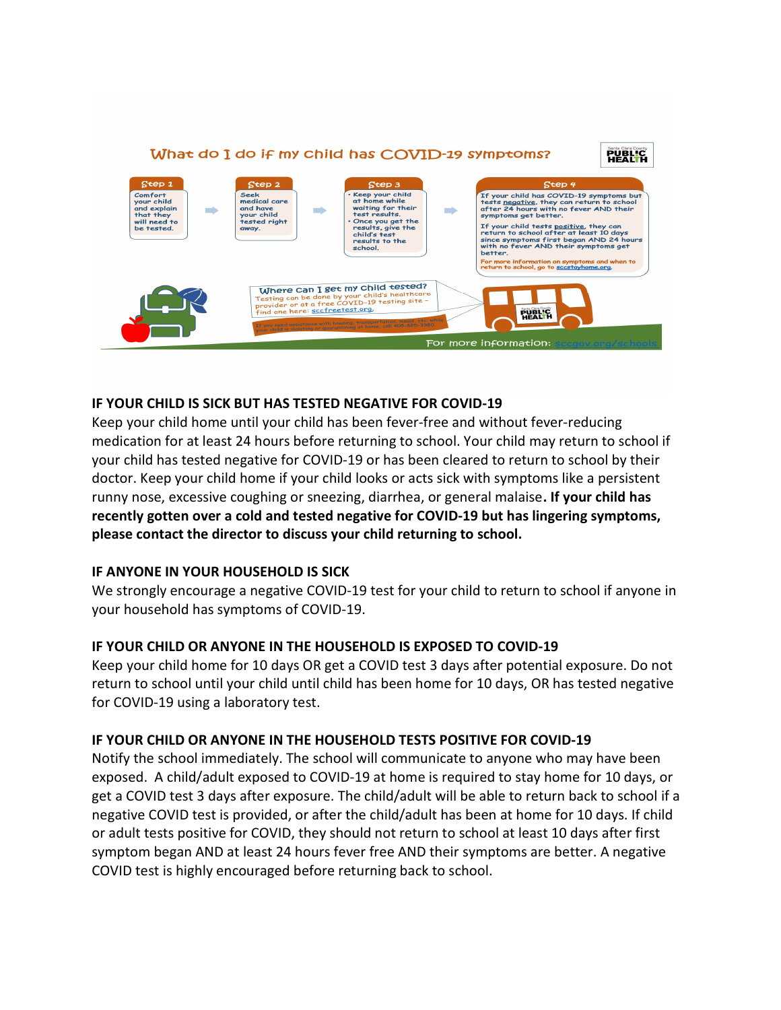

### IF YOUR CHILD IS SICK BUT HAS TESTED NEGATIVE FOR COVID-19

Keep your child home until your child has been fever-free and without fever-reducing medication for at least 24 hours before returning to school. Your child may return to school if your child has tested negative for COVID-19 or has been cleared to return to school by their doctor. Keep your child home if your child looks or acts sick with symptoms like a persistent runny nose, excessive coughing or sneezing, diarrhea, or general malaise. If your child has recently gotten over a cold and tested negative for COVID-19 but has lingering symptoms, please contact the director to discuss your child returning to school.

### IF ANYONE IN YOUR HOUSEHOLD IS SICK

We strongly encourage a negative COVID-19 test for your child to return to school if anyone in your household has symptoms of COVID-19.

### IF YOUR CHILD OR ANYONE IN THE HOUSEHOLD IS EXPOSED TO COVID-19

Keep your child home for 10 days OR get a COVID test 3 days after potential exposure. Do not return to school until your child until child has been home for 10 days, OR has tested negative for COVID-19 using a laboratory test.

### IF YOUR CHILD OR ANYONE IN THE HOUSEHOLD TESTS POSITIVE FOR COVID-19

Notify the school immediately. The school will communicate to anyone who may have been exposed. A child/adult exposed to COVID-19 at home is required to stay home for 10 days, or get a COVID test 3 days after exposure. The child/adult will be able to return back to school if a negative COVID test is provided, or after the child/adult has been at home for 10 days. If child or adult tests positive for COVID, they should not return to school at least 10 days after first symptom began AND at least 24 hours fever free AND their symptoms are better. A negative COVID test is highly encouraged before returning back to school.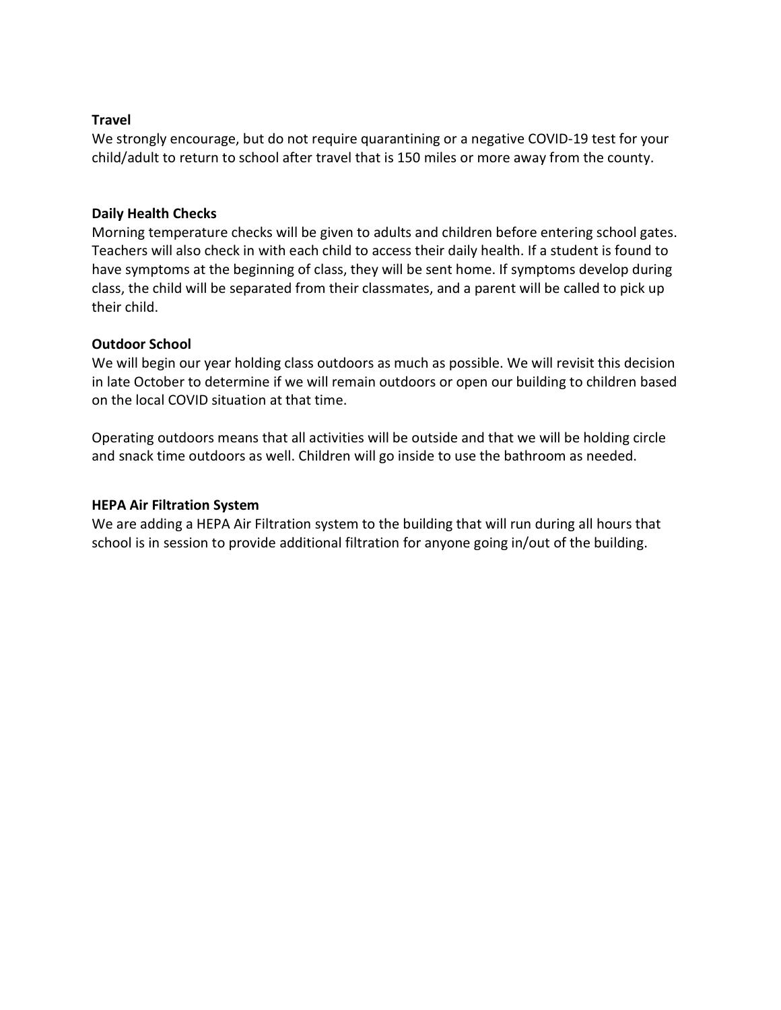### Travel

We strongly encourage, but do not require quarantining or a negative COVID-19 test for your child/adult to return to school after travel that is 150 miles or more away from the county.

### Daily Health Checks

Morning temperature checks will be given to adults and children before entering school gates. Teachers will also check in with each child to access their daily health. If a student is found to have symptoms at the beginning of class, they will be sent home. If symptoms develop during class, the child will be separated from their classmates, and a parent will be called to pick up their child.

### Outdoor School

We will begin our year holding class outdoors as much as possible. We will revisit this decision in late October to determine if we will remain outdoors or open our building to children based on the local COVID situation at that time.

Operating outdoors means that all activities will be outside and that we will be holding circle and snack time outdoors as well. Children will go inside to use the bathroom as needed.

### HEPA Air Filtration System

We are adding a HEPA Air Filtration system to the building that will run during all hours that school is in session to provide additional filtration for anyone going in/out of the building.